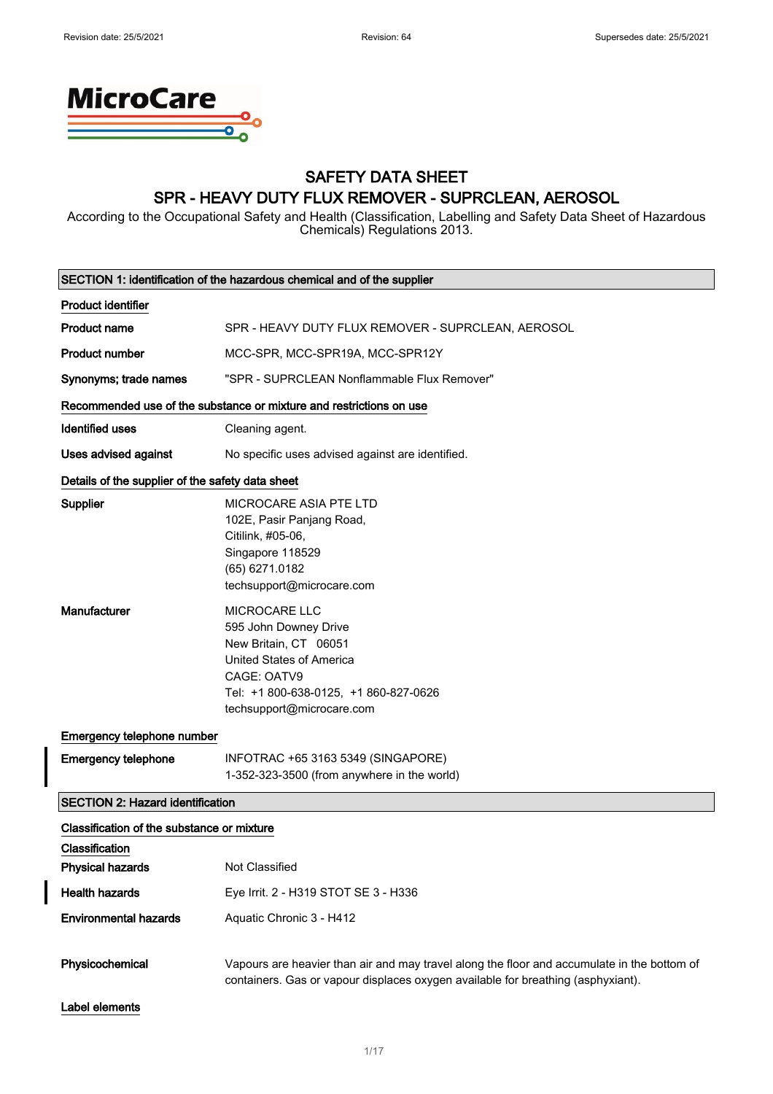

## SAFETY DATA SHEET SPR - HEAVY DUTY FLUX REMOVER - SUPRCLEAN, AEROSOL

According to the Occupational Safety and Health (Classification, Labelling and Safety Data Sheet of Hazardous Chemicals) Regulations 2013.

| SECTION 1: identification of the hazardous chemical and of the supplier                 |                                                                                                                                                                                                |  |
|-----------------------------------------------------------------------------------------|------------------------------------------------------------------------------------------------------------------------------------------------------------------------------------------------|--|
| <b>Product identifier</b>                                                               |                                                                                                                                                                                                |  |
| <b>Product name</b>                                                                     | SPR - HEAVY DUTY FLUX REMOVER - SUPRCLEAN, AEROSOL                                                                                                                                             |  |
| <b>Product number</b>                                                                   | MCC-SPR, MCC-SPR19A, MCC-SPR12Y                                                                                                                                                                |  |
| Synonyms; trade names                                                                   | "SPR - SUPRCLEAN Nonflammable Flux Remover"                                                                                                                                                    |  |
|                                                                                         | Recommended use of the substance or mixture and restrictions on use                                                                                                                            |  |
| <b>Identified uses</b>                                                                  | Cleaning agent.                                                                                                                                                                                |  |
| <b>Uses advised against</b>                                                             | No specific uses advised against are identified.                                                                                                                                               |  |
| Details of the supplier of the safety data sheet                                        |                                                                                                                                                                                                |  |
| <b>Supplier</b>                                                                         | MICROCARE ASIA PTE LTD<br>102E, Pasir Panjang Road,<br>Citilink, #05-06,<br>Singapore 118529<br>(65) 6271.0182<br>techsupport@microcare.com                                                    |  |
| <b>Manufacturer</b>                                                                     | <b>MICROCARE LLC</b><br>595 John Downey Drive<br>New Britain, CT 06051<br><b>United States of America</b><br>CAGE: OATV9<br>Tel: +1 800-638-0125, +1 860-827-0626<br>techsupport@microcare.com |  |
| Emergency telephone number                                                              |                                                                                                                                                                                                |  |
| <b>Emergency telephone</b>                                                              | INFOTRAC +65 3163 5349 (SINGAPORE)<br>1-352-323-3500 (from anywhere in the world)                                                                                                              |  |
| <b>SECTION 2: Hazard identification</b>                                                 |                                                                                                                                                                                                |  |
| Classification of the substance or mixture<br>Classification<br><b>Physical hazards</b> | Not Classified                                                                                                                                                                                 |  |
| <b>Health hazards</b>                                                                   | Eye Irrit. 2 - H319 STOT SE 3 - H336                                                                                                                                                           |  |
| <b>Environmental hazards</b>                                                            | Aquatic Chronic 3 - H412                                                                                                                                                                       |  |
| Physicochemical                                                                         | Vapours are heavier than air and may travel along the floor and accumulate in the bottom of<br>containers. Gas or vapour displaces oxygen available for breathing (asphyxiant).                |  |
| Label elements                                                                          |                                                                                                                                                                                                |  |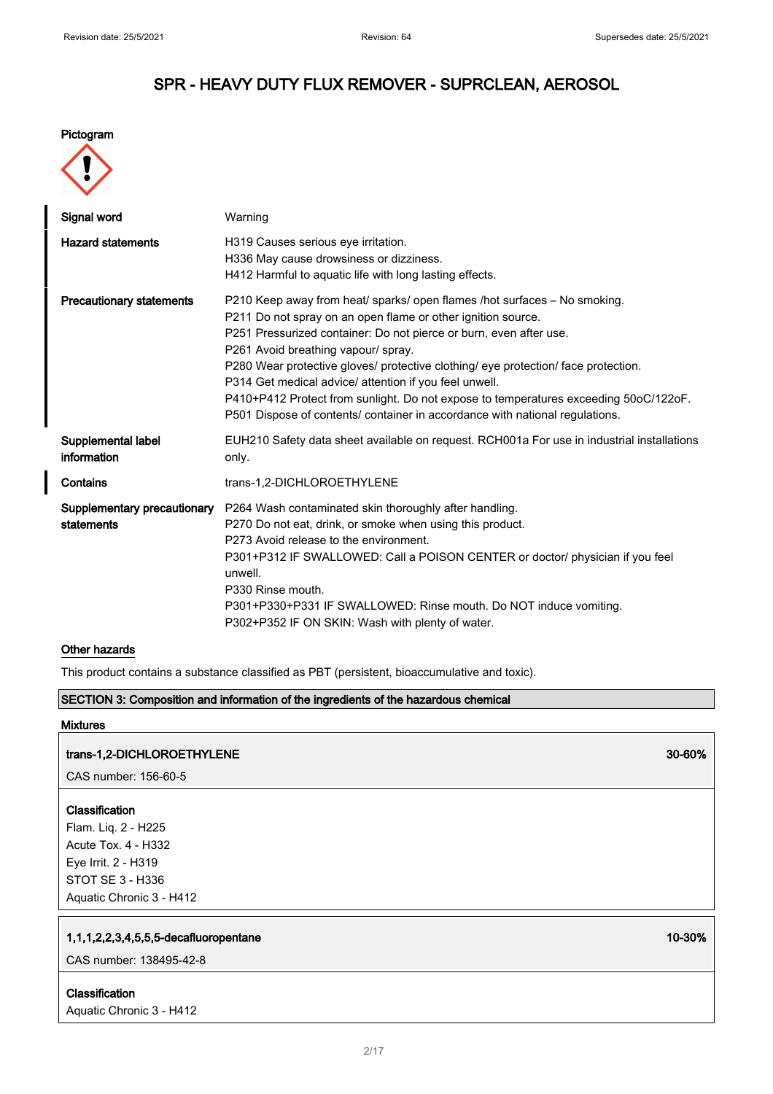#### Pictogram



| Signal word                               | Warning                                                                                                                                                                                                                                                                                                                                                                                                                                                                                                                                                                        |
|-------------------------------------------|--------------------------------------------------------------------------------------------------------------------------------------------------------------------------------------------------------------------------------------------------------------------------------------------------------------------------------------------------------------------------------------------------------------------------------------------------------------------------------------------------------------------------------------------------------------------------------|
| <b>Hazard statements</b>                  | H319 Causes serious eye irritation.<br>H336 May cause drowsiness or dizziness.<br>H412 Harmful to aquatic life with long lasting effects.                                                                                                                                                                                                                                                                                                                                                                                                                                      |
| <b>Precautionary statements</b>           | P210 Keep away from heat/ sparks/ open flames /hot surfaces - No smoking.<br>P211 Do not spray on an open flame or other ignition source.<br>P251 Pressurized container: Do not pierce or burn, even after use.<br>P261 Avoid breathing vapour/ spray.<br>P280 Wear protective gloves/ protective clothing/ eye protection/ face protection.<br>P314 Get medical advice/ attention if you feel unwell.<br>P410+P412 Protect from sunlight. Do not expose to temperatures exceeding 50oC/122oF.<br>P501 Dispose of contents/ container in accordance with national regulations. |
| Supplemental label<br>information         | EUH210 Safety data sheet available on request. RCH001a For use in industrial installations<br>only.                                                                                                                                                                                                                                                                                                                                                                                                                                                                            |
| Contains                                  | trans-1,2-DICHLOROETHYLENE                                                                                                                                                                                                                                                                                                                                                                                                                                                                                                                                                     |
| Supplementary precautionary<br>statements | P264 Wash contaminated skin thoroughly after handling.<br>P270 Do not eat, drink, or smoke when using this product.<br>P273 Avoid release to the environment.<br>P301+P312 IF SWALLOWED: Call a POISON CENTER or doctor/ physician if you feel<br>unwell.<br>P330 Rinse mouth.<br>P301+P330+P331 IF SWALLOWED: Rinse mouth. Do NOT induce vomiting.<br>P302+P352 IF ON SKIN: Wash with plenty of water.                                                                                                                                                                        |

#### Other hazards

This product contains a substance classified as PBT (persistent, bioaccumulative and toxic).

#### SECTION 3: Composition and information of the ingredients of the hazardous chemical

### Mixtures

### trans-1,2-DICHLOROETHYLENE 30-60%

CAS number: 156-60-5

### Classification

Flam. Liq. 2 - H225 Acute Tox. 4 - H332 Eye Irrit. 2 - H319 STOT SE 3 - H336 Aquatic Chronic 3 - H412

### 1,1,1,2,2,3,4,5,5,5-decafluoropentane 10-30%

CAS number: 138495-42-8

Classification Aquatic Chronic 3 - H412

2/ 17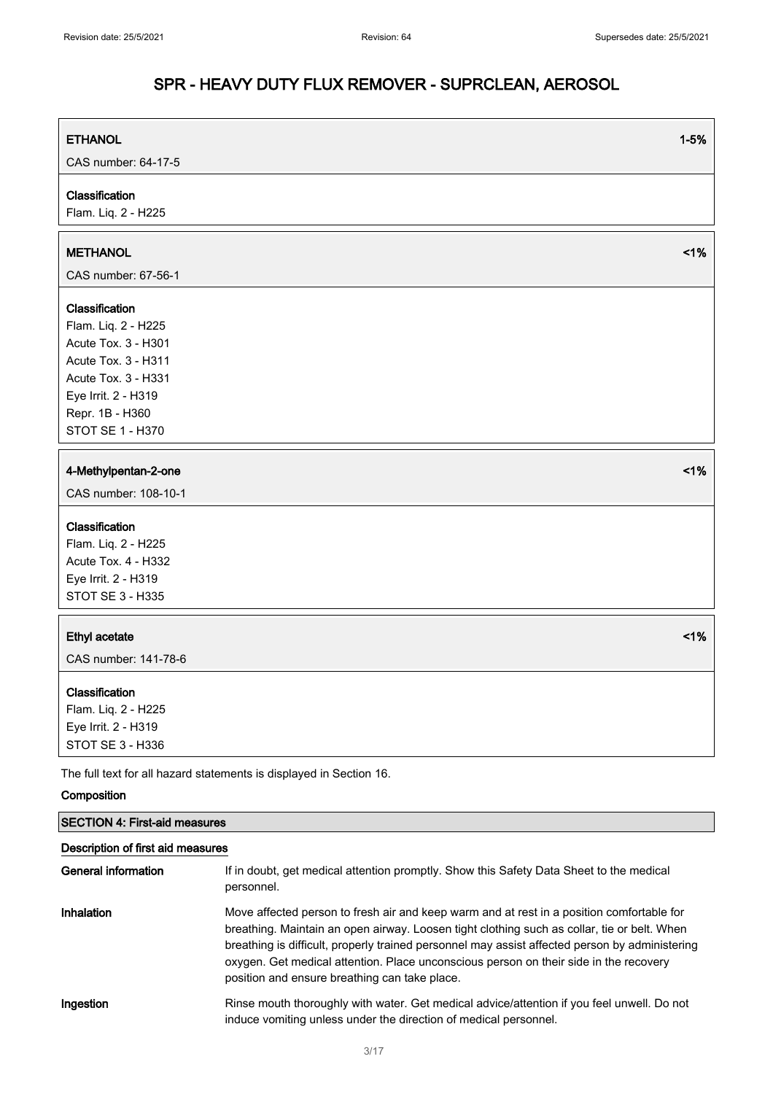| <b>ETHANOL</b>                                                      | $1 - 5%$ |
|---------------------------------------------------------------------|----------|
| CAS number: 64-17-5                                                 |          |
| Classification                                                      |          |
| Flam. Liq. 2 - H225                                                 |          |
|                                                                     |          |
| <b>METHANOL</b>                                                     | 1%       |
| CAS number: 67-56-1                                                 |          |
| Classification                                                      |          |
| Flam. Liq. 2 - H225                                                 |          |
| Acute Tox. 3 - H301                                                 |          |
| Acute Tox. 3 - H311                                                 |          |
| Acute Tox. 3 - H331                                                 |          |
| Eye Irrit. 2 - H319                                                 |          |
| Repr. 1B - H360                                                     |          |
| STOT SE 1 - H370                                                    |          |
|                                                                     |          |
| 4-Methylpentan-2-one                                                | 1%       |
| CAS number: 108-10-1                                                |          |
| Classification                                                      |          |
| Flam. Liq. 2 - H225                                                 |          |
| Acute Tox. 4 - H332                                                 |          |
| Eye Irrit. 2 - H319                                                 |          |
| <b>STOT SE 3 - H335</b>                                             |          |
|                                                                     |          |
| <b>Ethyl acetate</b>                                                | 1%       |
| CAS number: 141-78-6                                                |          |
| Classification                                                      |          |
| Flam. Liq. 2 - H225                                                 |          |
| Eye Irrit. 2 - H319                                                 |          |
| STOT SE 3 - H336                                                    |          |
| The full text for all hazard statements is displayed in Section 16. |          |

#### Composition

| <b>SECTION 4: First-aid measures</b><br>Description of first aid measures |                                                                                                                                                                                                                                                                                                                                                                                                                                      |  |
|---------------------------------------------------------------------------|--------------------------------------------------------------------------------------------------------------------------------------------------------------------------------------------------------------------------------------------------------------------------------------------------------------------------------------------------------------------------------------------------------------------------------------|--|
|                                                                           |                                                                                                                                                                                                                                                                                                                                                                                                                                      |  |
| Inhalation                                                                | Move affected person to fresh air and keep warm and at rest in a position comfortable for<br>breathing. Maintain an open airway. Loosen tight clothing such as collar, tie or belt. When<br>breathing is difficult, properly trained personnel may assist affected person by administering<br>oxygen. Get medical attention. Place unconscious person on their side in the recovery<br>position and ensure breathing can take place. |  |
| Ingestion                                                                 | Rinse mouth thoroughly with water. Get medical advice/attention if you feel unwell. Do not<br>induce vomiting unless under the direction of medical personnel.                                                                                                                                                                                                                                                                       |  |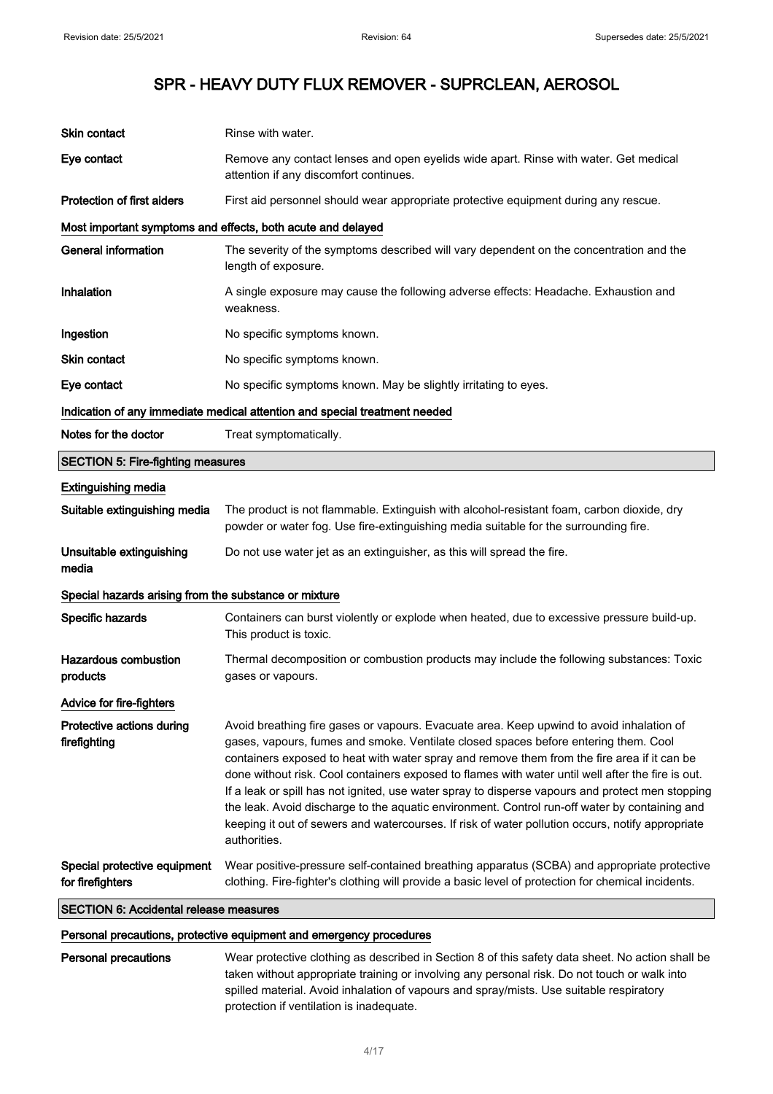| <b>SECTION 6: Accidental release measures</b>              |                                                                                                                                                                                                                                                                                                                                                                                                                                                                                                                                                                                                                                                                                                              |
|------------------------------------------------------------|--------------------------------------------------------------------------------------------------------------------------------------------------------------------------------------------------------------------------------------------------------------------------------------------------------------------------------------------------------------------------------------------------------------------------------------------------------------------------------------------------------------------------------------------------------------------------------------------------------------------------------------------------------------------------------------------------------------|
| Special protective equipment<br>for firefighters           | Wear positive-pressure self-contained breathing apparatus (SCBA) and appropriate protective<br>clothing. Fire-fighter's clothing will provide a basic level of protection for chemical incidents.                                                                                                                                                                                                                                                                                                                                                                                                                                                                                                            |
| Protective actions during<br>firefighting                  | Avoid breathing fire gases or vapours. Evacuate area. Keep upwind to avoid inhalation of<br>gases, vapours, fumes and smoke. Ventilate closed spaces before entering them. Cool<br>containers exposed to heat with water spray and remove them from the fire area if it can be<br>done without risk. Cool containers exposed to flames with water until well after the fire is out.<br>If a leak or spill has not ignited, use water spray to disperse vapours and protect men stopping<br>the leak. Avoid discharge to the aquatic environment. Control run-off water by containing and<br>keeping it out of sewers and watercourses. If risk of water pollution occurs, notify appropriate<br>authorities. |
| Advice for fire-fighters                                   |                                                                                                                                                                                                                                                                                                                                                                                                                                                                                                                                                                                                                                                                                                              |
| <b>Hazardous combustion</b><br>products                    | Thermal decomposition or combustion products may include the following substances: Toxic<br>gases or vapours.                                                                                                                                                                                                                                                                                                                                                                                                                                                                                                                                                                                                |
| Specific hazards                                           | Containers can burst violently or explode when heated, due to excessive pressure build-up.<br>This product is toxic.                                                                                                                                                                                                                                                                                                                                                                                                                                                                                                                                                                                         |
| Special hazards arising from the substance or mixture      |                                                                                                                                                                                                                                                                                                                                                                                                                                                                                                                                                                                                                                                                                                              |
| Unsuitable extinguishing<br>media                          | Do not use water jet as an extinguisher, as this will spread the fire.                                                                                                                                                                                                                                                                                                                                                                                                                                                                                                                                                                                                                                       |
| <b>Extinguishing media</b><br>Suitable extinguishing media | The product is not flammable. Extinguish with alcohol-resistant foam, carbon dioxide, dry<br>powder or water fog. Use fire-extinguishing media suitable for the surrounding fire.                                                                                                                                                                                                                                                                                                                                                                                                                                                                                                                            |
| <b>SECTION 5: Fire-fighting measures</b>                   |                                                                                                                                                                                                                                                                                                                                                                                                                                                                                                                                                                                                                                                                                                              |
| Notes for the doctor                                       | Treat symptomatically.                                                                                                                                                                                                                                                                                                                                                                                                                                                                                                                                                                                                                                                                                       |
|                                                            | Indication of any immediate medical attention and special treatment needed                                                                                                                                                                                                                                                                                                                                                                                                                                                                                                                                                                                                                                   |
| Eye contact                                                | No specific symptoms known. May be slightly irritating to eyes.                                                                                                                                                                                                                                                                                                                                                                                                                                                                                                                                                                                                                                              |
| <b>Skin contact</b>                                        | No specific symptoms known.                                                                                                                                                                                                                                                                                                                                                                                                                                                                                                                                                                                                                                                                                  |
| Ingestion                                                  | No specific symptoms known.                                                                                                                                                                                                                                                                                                                                                                                                                                                                                                                                                                                                                                                                                  |
| Inhalation                                                 | A single exposure may cause the following adverse effects: Headache. Exhaustion and<br>weakness.                                                                                                                                                                                                                                                                                                                                                                                                                                                                                                                                                                                                             |
| <b>General information</b>                                 | The severity of the symptoms described will vary dependent on the concentration and the<br>length of exposure.                                                                                                                                                                                                                                                                                                                                                                                                                                                                                                                                                                                               |
|                                                            | Most important symptoms and effects, both acute and delayed                                                                                                                                                                                                                                                                                                                                                                                                                                                                                                                                                                                                                                                  |
| <b>Protection of first aiders</b>                          | First aid personnel should wear appropriate protective equipment during any rescue.                                                                                                                                                                                                                                                                                                                                                                                                                                                                                                                                                                                                                          |
| Eye contact                                                | Remove any contact lenses and open eyelids wide apart. Rinse with water. Get medical<br>attention if any discomfort continues.                                                                                                                                                                                                                                                                                                                                                                                                                                                                                                                                                                               |
| Skin contact                                               | Rinse with water.                                                                                                                                                                                                                                                                                                                                                                                                                                                                                                                                                                                                                                                                                            |

#### Personal precautions, protective equipment and emergency procedures

Personal precautions Wear protective clothing as described in Section 8 of this safety data sheet. No action shall be taken without appropriate training or involving any personal risk. Do not touch or walk into spilled material. Avoid inhalation of vapours and spray/mists. Use suitable respiratory protection if ventilation is inadequate.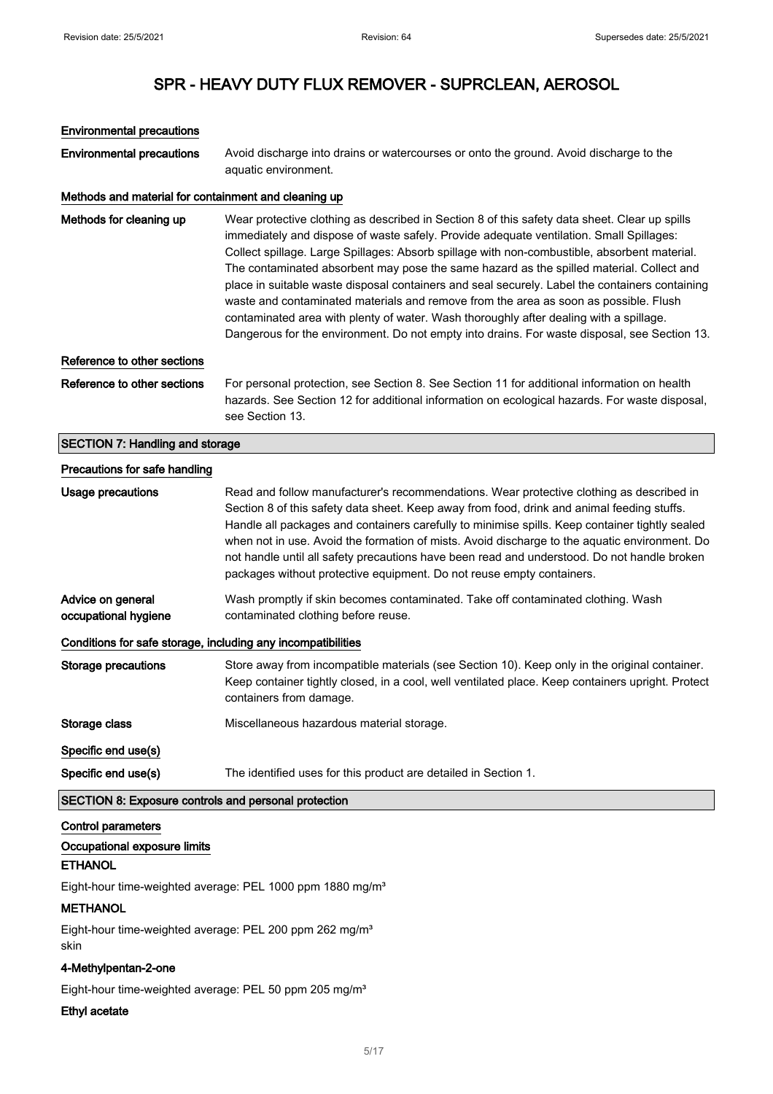## Environmental precautions Environmental precautions Avoid discharge into drains or watercourses or onto the ground. Avoid discharge to the aquatic environment. Methods and material for containment and cleaning up Methods for cleaning up Wear protective clothing as described in Section 8 of this safety data sheet. Clear up spills immediately and dispose of waste safely. Provide adequate ventilation. Small Spillages: Collect spillage. Large Spillages: Absorb spillage with non-combustible, absorbent material. The contaminated absorbent may pose the same hazard as the spilled material. Collect and place in suitable waste disposal containers and seal securely. Label the containers containing waste and contaminated materials and remove from the area as soon as possible. Flush contaminated area with plenty of water. Wash thoroughly after dealing with a spillage. Dangerous for the environment. Do not empty into drains. For waste disposal, see Section 13. Reference to other sections Reference to other sections For personal protection, see Section 8. See Section 11 for additional information on health hazards. See Section 12 for additional information on ecological hazards. For waste disposal, see Section 13. SECTION 7: Handling and storage Precautions for safe handling Usage precautions **Read and follow manufacturer's recommendations**. Wear protective clothing as described in Section 8 of this safety data sheet. Keep away from food, drink and animal feeding stuffs. Handle all packages and containers carefully to minimise spills. Keep container tightly sealed when not in use. Avoid the formation of mists. Avoid discharge to the aquatic environment. Do not handle until all safety precautions have been read and understood. Do not handle broken packages without protective equipment. Do not reuse empty containers. Advice on general occupational hygiene Wash promptly if skin becomes contaminated. Take off contaminated clothing. Wash contaminated clothing before reuse. Conditions for safe storage, including any incompatibilities Storage precautions Store away from incompatible materials (see Section 10). Keep only in the original container. Keep container tightly closed, in a cool, well ventilated place. Keep containers upright. Protect containers from damage. Storage class Miscellaneous hazardous material storage. Specific end use(s) Specific end use(s) The identified uses for this product are detailed in Section 1. SECTION 8: Exposure controls and personal protection Control parameters Occupational exposure limits **ETHANOL** Eight-hour time-weighted average: PEL 1000 ppm 1880 mg/m<sup>3</sup> **METHANOL**

Eight-hour time-weighted average: PEL 200 ppm 262 mg/m<sup>3</sup> skin

#### 4-Methylpentan-2-one

Eight-hour time-weighted average: PEL 50 ppm 205 mg/m<sup>3</sup>

#### Ethyl acetate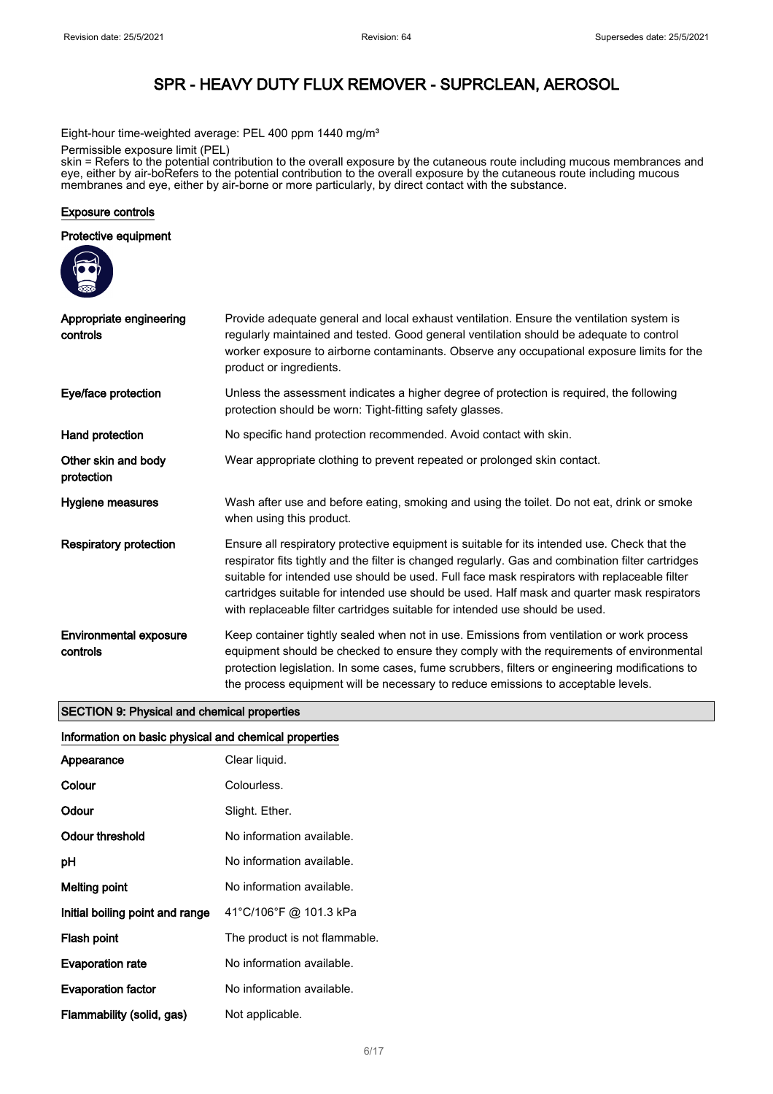Eight-hour time-weighted average: PEL 400 ppm 1440 mg/m<sup>3</sup>

Permissible exposure limit (PEL)

skin = Refers to the potential contribution to the overall exposure by the cutaneous route including mucous membrances and eye, either by air-boRefers to the potential contribution to the overall exposure by the cutaneous route including mucous membranes and eye, either by air-borne or more particularly, by direct contact with the substance.

#### Exposure controls

#### Protective equipment



#### SECTION 9: Physical and chemical properties

#### Information on basic physical and chemical properties

| Appearance                      | Clear liquid.                 |
|---------------------------------|-------------------------------|
| Colour                          | Colourless.                   |
| Odour                           | Slight. Ether.                |
| Odour threshold                 | No information available.     |
| рH                              | No information available.     |
| Melting point                   | No information available.     |
| Initial boiling point and range | 41°C/106°F @ 101.3 kPa        |
| Flash point                     | The product is not flammable. |
| <b>Evaporation rate</b>         | No information available.     |
| <b>Evaporation factor</b>       | No information available.     |
| Flammability (solid, gas)       | Not applicable.               |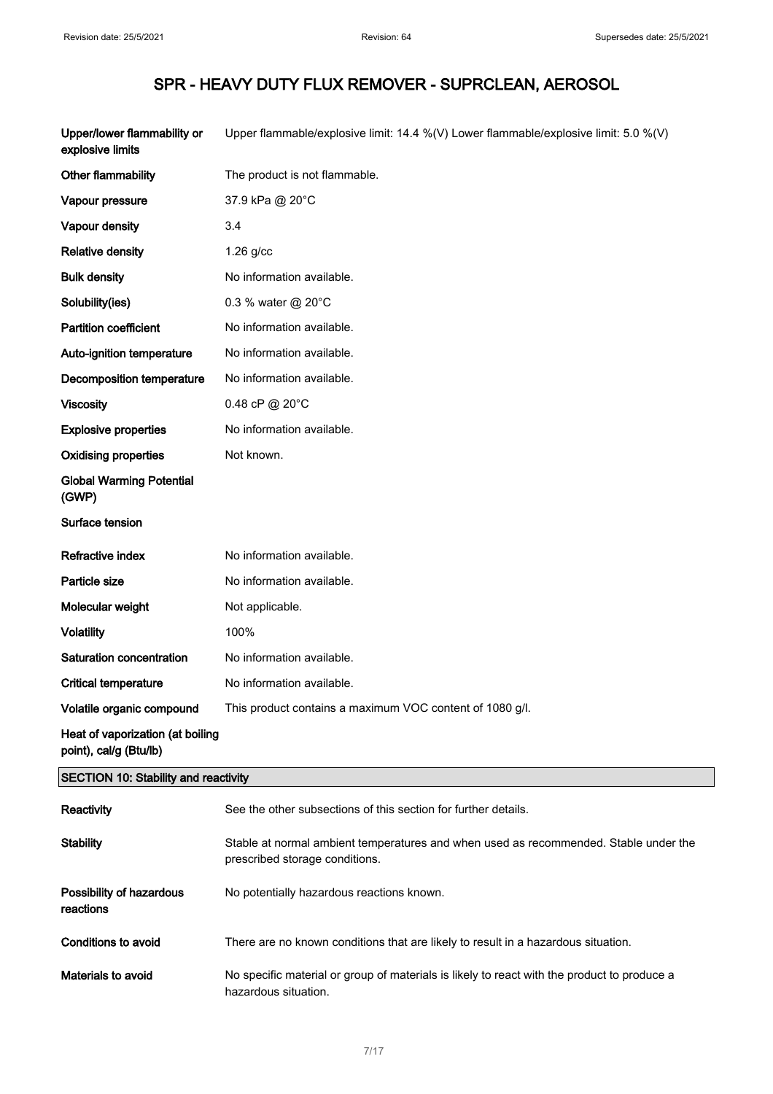| Upper/lower flammability or<br>explosive limits            | Upper flammable/explosive limit: 14.4 %(V) Lower flammable/explosive limit: 5.0 %(V) |
|------------------------------------------------------------|--------------------------------------------------------------------------------------|
| Other flammability                                         | The product is not flammable.                                                        |
| Vapour pressure                                            | 37.9 kPa @ 20°C                                                                      |
| Vapour density                                             | 3.4                                                                                  |
| <b>Relative density</b>                                    | $1.26$ g/cc                                                                          |
| <b>Bulk density</b>                                        | No information available.                                                            |
| Solubility(ies)                                            | 0.3 % water @ 20°C                                                                   |
| <b>Partition coefficient</b>                               | No information available.                                                            |
| Auto-ignition temperature                                  | No information available.                                                            |
| Decomposition temperature                                  | No information available.                                                            |
| <b>Viscosity</b>                                           | 0.48 cP @ 20°C                                                                       |
| <b>Explosive properties</b>                                | No information available.                                                            |
| <b>Oxidising properties</b>                                | Not known.                                                                           |
| <b>Global Warming Potential</b><br>(GWP)                   |                                                                                      |
| Surface tension                                            |                                                                                      |
| <b>Refractive index</b>                                    | No information available.                                                            |
| Particle size                                              | No information available.                                                            |
| Molecular weight                                           | Not applicable.                                                                      |
| <b>Volatility</b>                                          | 100%                                                                                 |
| Saturation concentration                                   | No information available.                                                            |
| <b>Critical temperature</b>                                | No information available.                                                            |
| Volatile organic compound                                  | This product contains a maximum VOC content of 1080 g/l.                             |
| Heat of vaporization (at boiling<br>point), cal/g (Btu/lb) |                                                                                      |
| <b>SECTION 10: Stability and reactivity</b>                |                                                                                      |
| Reactivity                                                 | See the other subsections of this section for further details.                       |

| ייישעיו                               | occ inc oincr subsculons or this sculon for narther actuals.                                                           |
|---------------------------------------|------------------------------------------------------------------------------------------------------------------------|
| <b>Stability</b>                      | Stable at normal ambient temperatures and when used as recommended. Stable under the<br>prescribed storage conditions. |
| Possibility of hazardous<br>reactions | No potentially hazardous reactions known.                                                                              |
| Conditions to avoid                   | There are no known conditions that are likely to result in a hazardous situation.                                      |
| Materials to avoid                    | No specific material or group of materials is likely to react with the product to produce a<br>hazardous situation.    |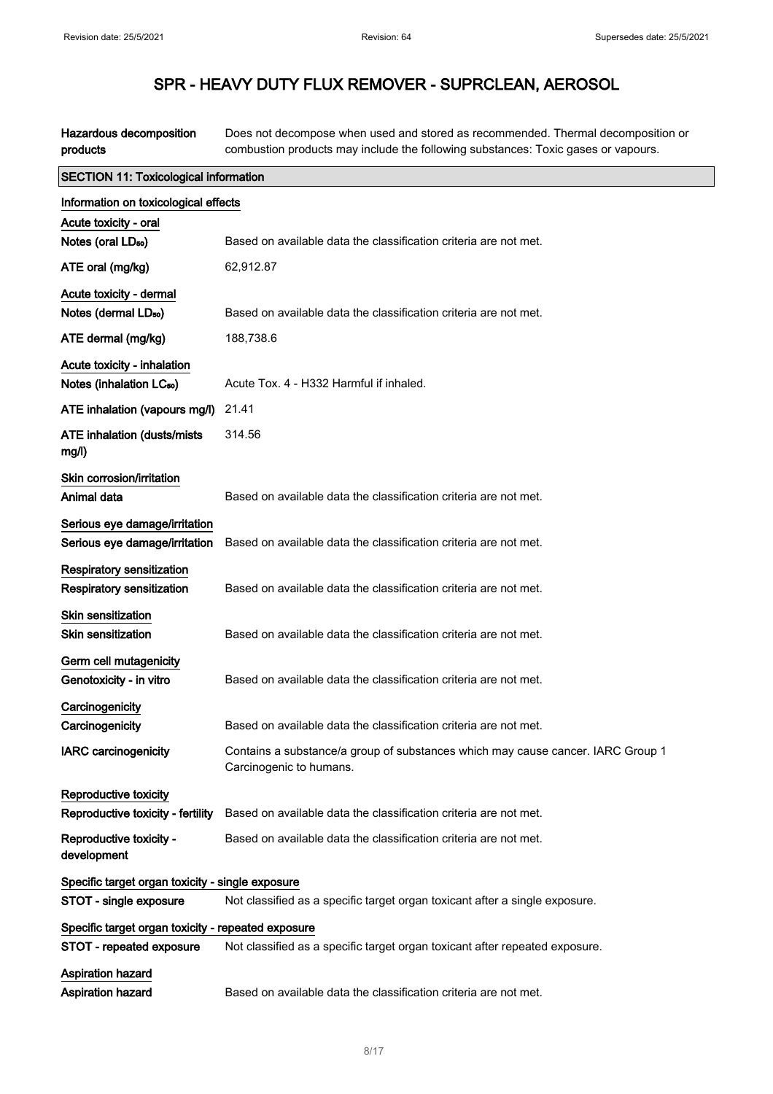Hazardous decomposition products Does not decompose when used and stored as recommended. Thermal decomposition or combustion products may include the following substances: Toxic gases or vapours.

| <b>SECTION 11: Toxicological information</b>       |                                                                                                            |  |
|----------------------------------------------------|------------------------------------------------------------------------------------------------------------|--|
| Information on toxicological effects               |                                                                                                            |  |
| Acute toxicity - oral                              |                                                                                                            |  |
| Notes (oral LD <sub>50</sub> )                     | Based on available data the classification criteria are not met.                                           |  |
| ATE oral (mg/kg)                                   | 62,912.87                                                                                                  |  |
| Acute toxicity - dermal                            |                                                                                                            |  |
| Notes (dermal LD <sub>50</sub> )                   | Based on available data the classification criteria are not met.                                           |  |
| ATE dermal (mg/kg)                                 | 188,738.6                                                                                                  |  |
| Acute toxicity - inhalation                        |                                                                                                            |  |
| Notes (inhalation LC <sub>50</sub> )               | Acute Tox. 4 - H332 Harmful if inhaled.                                                                    |  |
| ATE inhalation (vapours mg/l)                      | 21.41                                                                                                      |  |
| ATE inhalation (dusts/mists<br>mg/l)               | 314.56                                                                                                     |  |
| Skin corrosion/irritation                          |                                                                                                            |  |
| Animal data                                        | Based on available data the classification criteria are not met.                                           |  |
| Serious eye damage/irritation                      |                                                                                                            |  |
| Serious eye damage/irritation                      | Based on available data the classification criteria are not met.                                           |  |
| Respiratory sensitization                          |                                                                                                            |  |
| Respiratory sensitization                          | Based on available data the classification criteria are not met.                                           |  |
| Skin sensitization                                 |                                                                                                            |  |
| <b>Skin sensitization</b>                          | Based on available data the classification criteria are not met.                                           |  |
| Germ cell mutagenicity                             |                                                                                                            |  |
| Genotoxicity - in vitro                            | Based on available data the classification criteria are not met.                                           |  |
| Carcinogenicity                                    |                                                                                                            |  |
| Carcinogenicity                                    | Based on available data the classification criteria are not met.                                           |  |
| <b>IARC carcinogenicity</b>                        | Contains a substance/a group of substances which may cause cancer. IARC Group 1<br>Carcinogenic to humans. |  |
| Reproductive toxicity                              |                                                                                                            |  |
| Reproductive toxicity - fertility                  | Based on available data the classification criteria are not met.                                           |  |
| Reproductive toxicity -<br>development             | Based on available data the classification criteria are not met.                                           |  |
| Specific target organ toxicity - single exposure   |                                                                                                            |  |
| STOT - single exposure                             | Not classified as a specific target organ toxicant after a single exposure.                                |  |
| Specific target organ toxicity - repeated exposure |                                                                                                            |  |
| STOT - repeated exposure                           | Not classified as a specific target organ toxicant after repeated exposure.                                |  |
| Aspiration hazard                                  |                                                                                                            |  |
| Aspiration hazard                                  | Based on available data the classification criteria are not met.                                           |  |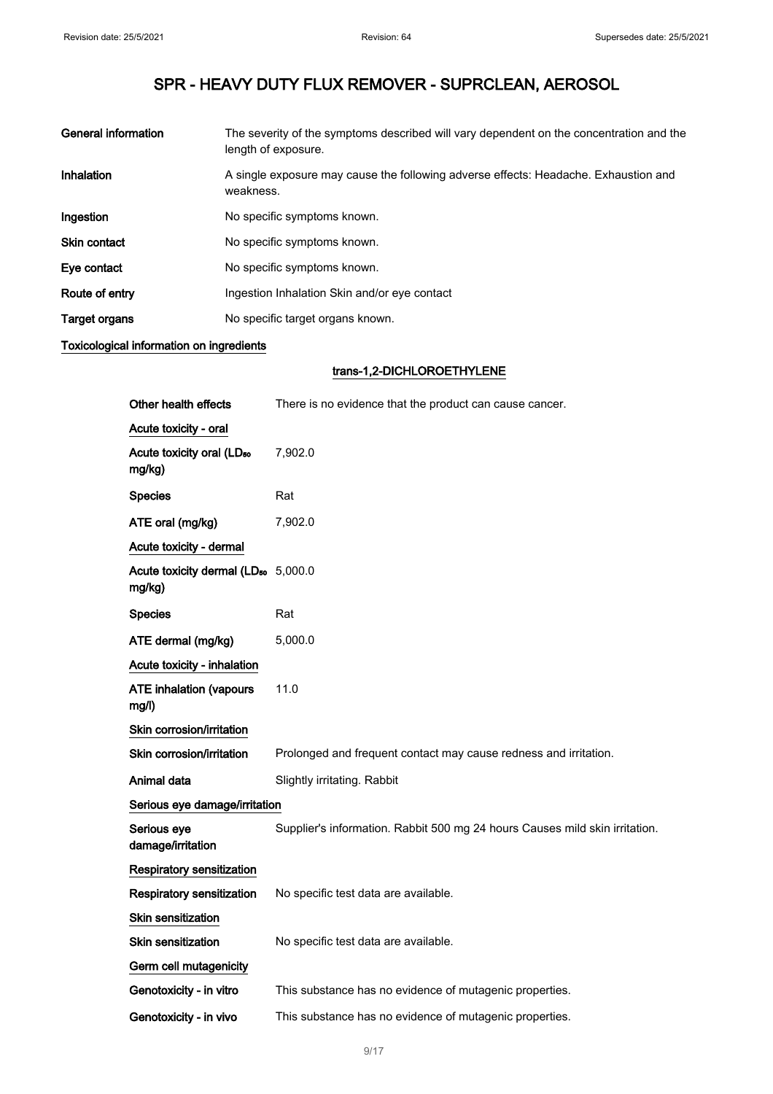| <b>General information</b> | The severity of the symptoms described will vary dependent on the concentration and the<br>length of exposure. |
|----------------------------|----------------------------------------------------------------------------------------------------------------|
| Inhalation                 | A single exposure may cause the following adverse effects: Headache. Exhaustion and<br>weakness.               |
| Ingestion                  | No specific symptoms known.                                                                                    |
| Skin contact               | No specific symptoms known.                                                                                    |
| Eye contact                | No specific symptoms known.                                                                                    |
| Route of entry             | Ingestion Inhalation Skin and/or eye contact                                                                   |
| Target organs              | No specific target organs known.                                                                               |

### Toxicological information on ingredients

### trans-1,2-DICHLOROETHYLENE

| Other health effects                                      | There is no evidence that the product can cause cancer.                     |
|-----------------------------------------------------------|-----------------------------------------------------------------------------|
| Acute toxicity - oral                                     |                                                                             |
| Acute toxicity oral (LD <sub>50</sub><br>mg/kg)           | 7,902.0                                                                     |
| <b>Species</b>                                            | Rat                                                                         |
| ATE oral (mg/kg)                                          | 7,902.0                                                                     |
| Acute toxicity - dermal                                   |                                                                             |
| Acute toxicity dermal (LD <sub>50</sub> 5,000.0<br>mg/kg) |                                                                             |
| <b>Species</b>                                            | Rat                                                                         |
| ATE dermal (mg/kg)                                        | 5,000.0                                                                     |
| Acute toxicity - inhalation                               |                                                                             |
| <b>ATE inhalation (vapours</b><br>mg/l)                   | 11.0                                                                        |
| Skin corrosion/irritation                                 |                                                                             |
| Skin corrosion/irritation                                 | Prolonged and frequent contact may cause redness and irritation.            |
| Animal data                                               | Slightly irritating. Rabbit                                                 |
| Serious eye damage/irritation                             |                                                                             |
| Serious eye<br>damage/irritation                          | Supplier's information. Rabbit 500 mg 24 hours Causes mild skin irritation. |
| <b>Respiratory sensitization</b>                          |                                                                             |
| Respiratory sensitization                                 | No specific test data are available.                                        |
| <b>Skin sensitization</b>                                 |                                                                             |
| <b>Skin sensitization</b>                                 | No specific test data are available.                                        |
| Germ cell mutagenicity                                    |                                                                             |
| Genotoxicity - in vitro                                   | This substance has no evidence of mutagenic properties.                     |
| Genotoxicity - in vivo                                    | This substance has no evidence of mutagenic properties.                     |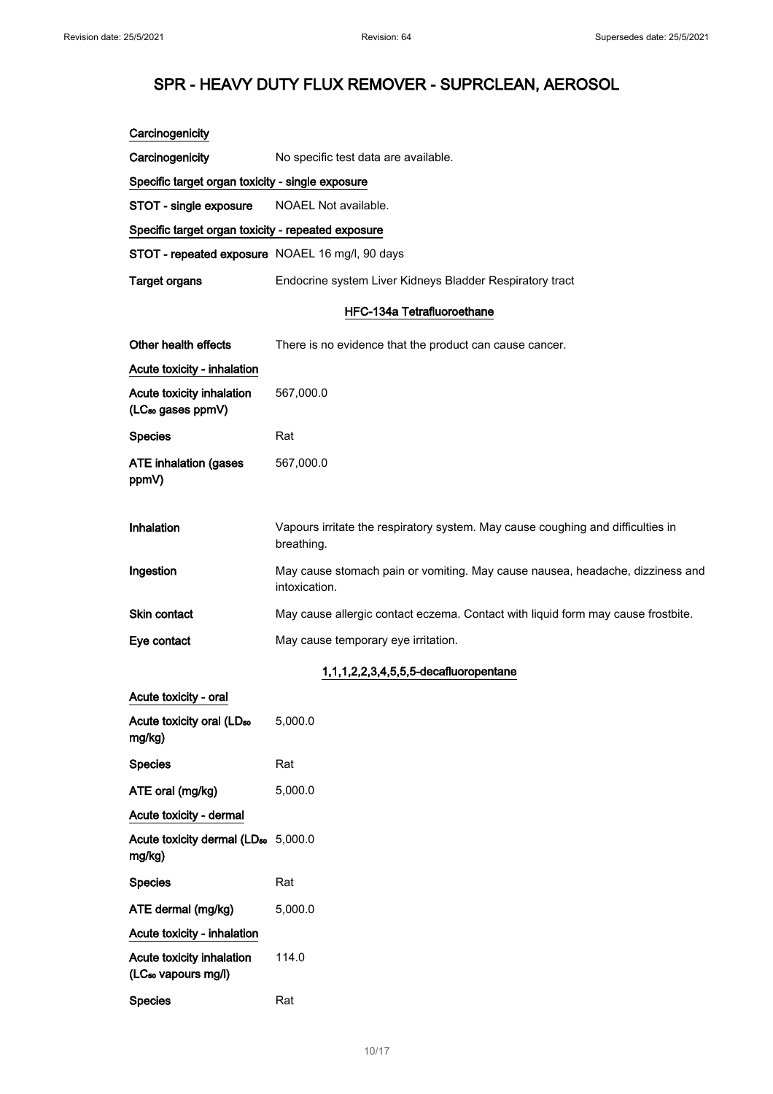| Carcinogenicity                                              |                                                                                                |
|--------------------------------------------------------------|------------------------------------------------------------------------------------------------|
| Carcinogenicity                                              | No specific test data are available.                                                           |
| Specific target organ toxicity - single exposure             |                                                                                                |
| STOT - single exposure                                       | NOAEL Not available.                                                                           |
| Specific target organ toxicity - repeated exposure           |                                                                                                |
| STOT - repeated exposure NOAEL 16 mg/l, 90 days              |                                                                                                |
| <b>Target organs</b>                                         | Endocrine system Liver Kidneys Bladder Respiratory tract                                       |
|                                                              | <b>HFC-134a Tetrafluoroethane</b>                                                              |
| Other health effects                                         | There is no evidence that the product can cause cancer.                                        |
| Acute toxicity - inhalation                                  |                                                                                                |
| Acute toxicity inhalation<br>(LC <sub>50</sub> gases ppmV)   | 567,000.0                                                                                      |
| <b>Species</b>                                               | Rat                                                                                            |
| <b>ATE inhalation (gases</b><br>ppmV)                        | 567,000.0                                                                                      |
| Inhalation                                                   | Vapours irritate the respiratory system. May cause coughing and difficulties in<br>breathing.  |
| Ingestion                                                    | May cause stomach pain or vomiting. May cause nausea, headache, dizziness and<br>intoxication. |
| Skin contact                                                 | May cause allergic contact eczema. Contact with liquid form may cause frostbite.               |
| Eye contact                                                  | May cause temporary eye irritation.                                                            |
|                                                              | 1,1,1,2,2,3,4,5,5,5-decafluoropentane                                                          |
| Acute toxicity - oral                                        |                                                                                                |
| Acute toxicity oral (LD <sub>50</sub><br>mg/kg)              | 5,000.0                                                                                        |
| <b>Species</b>                                               | Rat                                                                                            |
| ATE oral (mg/kg)                                             | 5,000.0                                                                                        |
| Acute toxicity - dermal                                      |                                                                                                |
| Acute toxicity dermal (LD <sub>50</sub> 5,000.0<br>mg/kg)    |                                                                                                |
| <b>Species</b>                                               | Rat                                                                                            |
| ATE dermal (mg/kg)                                           | 5,000.0                                                                                        |
| Acute toxicity - inhalation                                  |                                                                                                |
| Acute toxicity inhalation<br>(LC <sub>50</sub> vapours mg/l) | 114.0                                                                                          |
| <b>Species</b>                                               | Rat                                                                                            |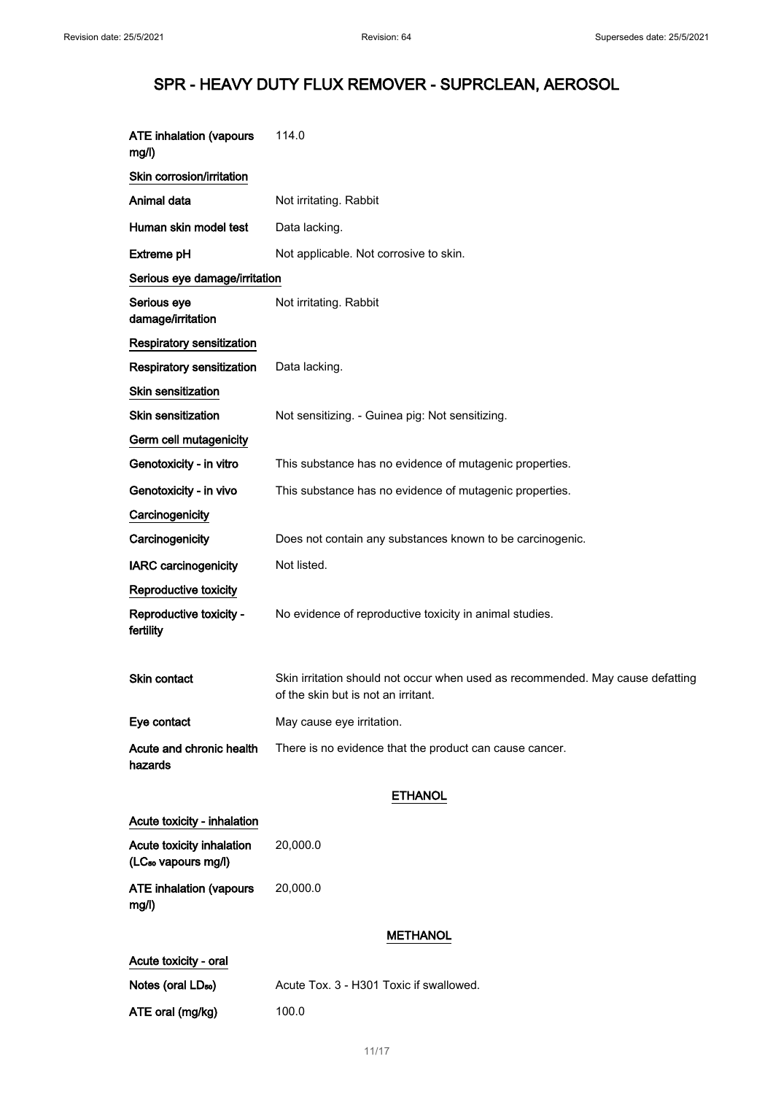| <b>ATE inhalation (vapours</b><br>mg/l)                      | 114.0                                                                                                                 |
|--------------------------------------------------------------|-----------------------------------------------------------------------------------------------------------------------|
| Skin corrosion/irritation                                    |                                                                                                                       |
| Animal data                                                  | Not irritating. Rabbit                                                                                                |
| Human skin model test                                        | Data lacking.                                                                                                         |
| <b>Extreme pH</b>                                            | Not applicable. Not corrosive to skin.                                                                                |
| Serious eye damage/irritation                                |                                                                                                                       |
| Serious eye<br>damage/irritation                             | Not irritating. Rabbit                                                                                                |
| Respiratory sensitization                                    |                                                                                                                       |
| Respiratory sensitization                                    | Data lacking.                                                                                                         |
| Skin sensitization                                           |                                                                                                                       |
| Skin sensitization                                           | Not sensitizing. - Guinea pig: Not sensitizing.                                                                       |
| Germ cell mutagenicity                                       |                                                                                                                       |
| Genotoxicity - in vitro                                      | This substance has no evidence of mutagenic properties.                                                               |
| Genotoxicity - in vivo                                       | This substance has no evidence of mutagenic properties.                                                               |
| Carcinogenicity                                              |                                                                                                                       |
| Carcinogenicity                                              | Does not contain any substances known to be carcinogenic.                                                             |
| <b>IARC</b> carcinogenicity                                  | Not listed.                                                                                                           |
| Reproductive toxicity                                        |                                                                                                                       |
| Reproductive toxicity -<br>fertility                         | No evidence of reproductive toxicity in animal studies.                                                               |
| Skin contact                                                 | Skin irritation should not occur when used as recommended. May cause defatting<br>of the skin but is not an irritant. |
| Eye contact                                                  | May cause eye irritation.                                                                                             |
| Acute and chronic health<br>hazards                          | There is no evidence that the product can cause cancer.                                                               |
|                                                              | <b>ETHANOL</b>                                                                                                        |
| Acute toxicity - inhalation                                  |                                                                                                                       |
| Acute toxicity inhalation<br>(LC <sub>50</sub> vapours mg/l) | 20,000.0                                                                                                              |
| <b>ATE inhalation (vapours</b><br>mg/l)                      | 20,000.0                                                                                                              |
|                                                              | <b>METHANOL</b>                                                                                                       |
| Acute toxicity - oral                                        |                                                                                                                       |
| Notes (oral LD <sub>50</sub> )                               | Acute Tox. 3 - H301 Toxic if swallowed.                                                                               |
| ATE oral (mg/kg)                                             | 100.0                                                                                                                 |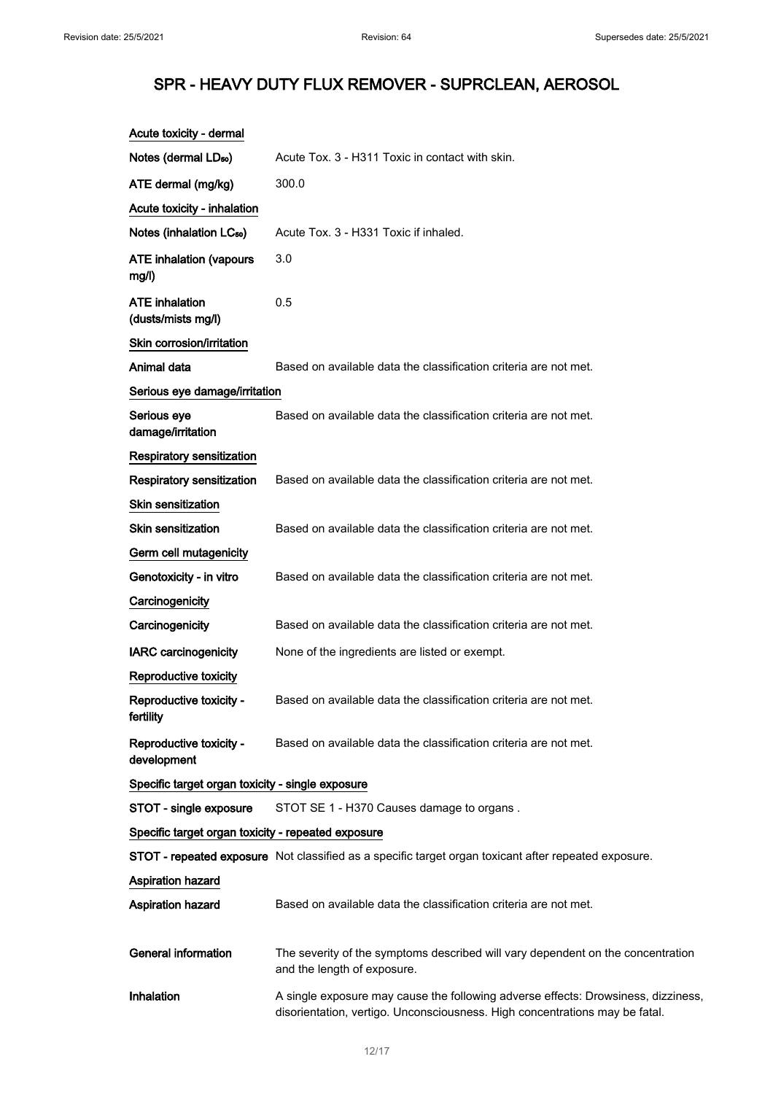| Acute toxicity - dermal                            |                                                                                                                                                                  |
|----------------------------------------------------|------------------------------------------------------------------------------------------------------------------------------------------------------------------|
| Notes (dermal LD <sub>50</sub> )                   | Acute Tox, 3 - H311 Toxic in contact with skin.                                                                                                                  |
| ATE dermal (mg/kg)                                 | 300.0                                                                                                                                                            |
| Acute toxicity - inhalation                        |                                                                                                                                                                  |
| Notes (inhalation LC <sub>50</sub> )               | Acute Tox. 3 - H331 Toxic if inhaled.                                                                                                                            |
| <b>ATE inhalation (vapours</b><br>mg/l)            | 3.0                                                                                                                                                              |
| ATE inhalation<br>(dusts/mists mg/l)               | 0.5                                                                                                                                                              |
| Skin corrosion/irritation                          |                                                                                                                                                                  |
| Animal data                                        | Based on available data the classification criteria are not met.                                                                                                 |
| Serious eye damage/irritation                      |                                                                                                                                                                  |
| Serious eye<br>damage/irritation                   | Based on available data the classification criteria are not met.                                                                                                 |
| <b>Respiratory sensitization</b>                   |                                                                                                                                                                  |
| Respiratory sensitization                          | Based on available data the classification criteria are not met.                                                                                                 |
| Skin sensitization                                 |                                                                                                                                                                  |
| <b>Skin sensitization</b>                          | Based on available data the classification criteria are not met.                                                                                                 |
| Germ cell mutagenicity                             |                                                                                                                                                                  |
| Genotoxicity - in vitro                            | Based on available data the classification criteria are not met.                                                                                                 |
| Carcinogenicity                                    |                                                                                                                                                                  |
| Carcinogenicity                                    | Based on available data the classification criteria are not met.                                                                                                 |
| <b>IARC carcinogenicity</b>                        | None of the ingredients are listed or exempt.                                                                                                                    |
| Reproductive toxicity                              |                                                                                                                                                                  |
| Reproductive toxicity -<br>fertility               | Based on available data the classification criteria are not met.                                                                                                 |
| Reproductive toxicity -<br>development             | Based on available data the classification criteria are not met.                                                                                                 |
| Specific target organ toxicity - single exposure   |                                                                                                                                                                  |
| STOT - single exposure                             | STOT SE 1 - H370 Causes damage to organs.                                                                                                                        |
| Specific target organ toxicity - repeated exposure |                                                                                                                                                                  |
|                                                    | STOT - repeated exposure Not classified as a specific target organ toxicant after repeated exposure.                                                             |
| <b>Aspiration hazard</b>                           |                                                                                                                                                                  |
| Aspiration hazard                                  | Based on available data the classification criteria are not met.                                                                                                 |
| <b>General information</b>                         | The severity of the symptoms described will vary dependent on the concentration<br>and the length of exposure.                                                   |
| Inhalation                                         | A single exposure may cause the following adverse effects: Drowsiness, dizziness,<br>disorientation, vertigo. Unconsciousness. High concentrations may be fatal. |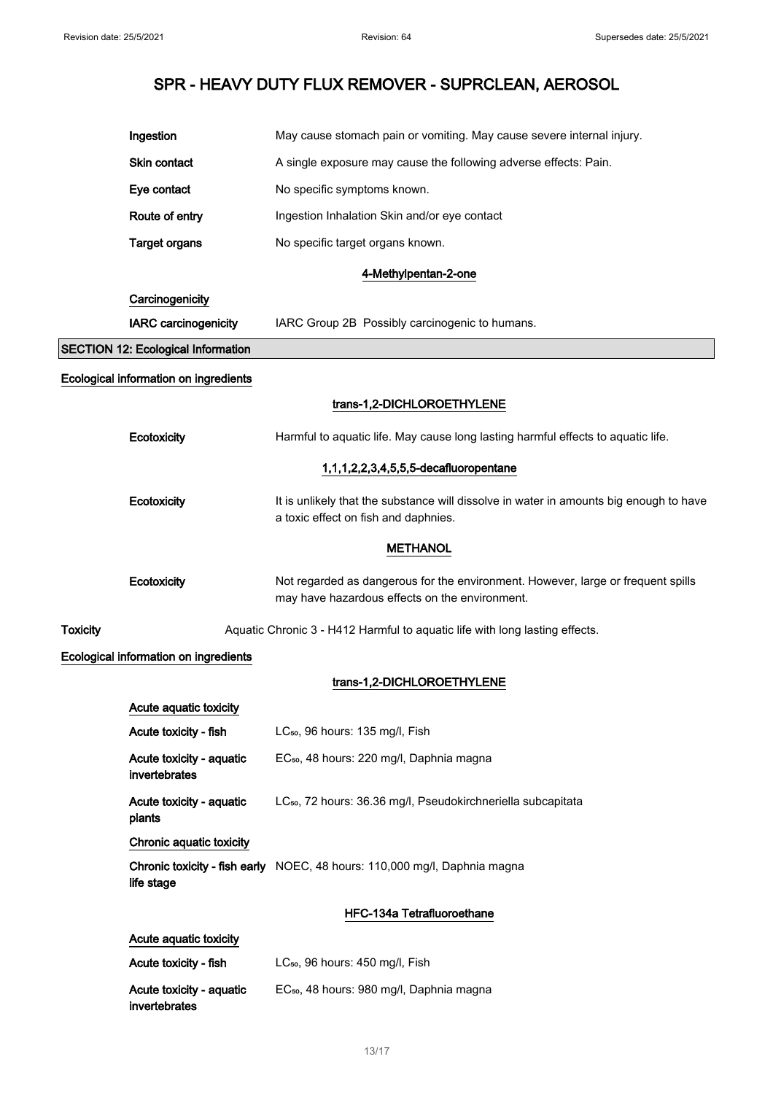|                 | Ingestion                                 | May cause stomach pain or vomiting. May cause severe internal injury.                                                              |
|-----------------|-------------------------------------------|------------------------------------------------------------------------------------------------------------------------------------|
|                 | <b>Skin contact</b>                       | A single exposure may cause the following adverse effects: Pain.                                                                   |
|                 | Eye contact                               | No specific symptoms known.                                                                                                        |
|                 | Route of entry                            | Ingestion Inhalation Skin and/or eye contact                                                                                       |
|                 | <b>Target organs</b>                      | No specific target organs known.                                                                                                   |
|                 |                                           | 4-Methylpentan-2-one                                                                                                               |
|                 | Carcinogenicity                           |                                                                                                                                    |
|                 | <b>IARC</b> carcinogenicity               | IARC Group 2B Possibly carcinogenic to humans.                                                                                     |
|                 | <b>SECTION 12: Ecological Information</b> |                                                                                                                                    |
|                 | Ecological information on ingredients     |                                                                                                                                    |
|                 |                                           | trans-1,2-DICHLOROETHYLENE                                                                                                         |
|                 | Ecotoxicity                               | Harmful to aquatic life. May cause long lasting harmful effects to aquatic life.                                                   |
|                 |                                           | 1,1,1,2,2,3,4,5,5,5-decafluoropentane                                                                                              |
|                 | Ecotoxicity                               | It is unlikely that the substance will dissolve in water in amounts big enough to have<br>a toxic effect on fish and daphnies.     |
|                 |                                           | <b>METHANOL</b>                                                                                                                    |
|                 | Ecotoxicity                               | Not regarded as dangerous for the environment. However, large or frequent spills<br>may have hazardous effects on the environment. |
| <b>Toxicity</b> |                                           | Aquatic Chronic 3 - H412 Harmful to aquatic life with long lasting effects.                                                        |
|                 | Ecological information on ingredients     |                                                                                                                                    |
|                 |                                           | trans-1,2-DICHLOROETHYLENE                                                                                                         |
|                 | Acute aquatic toxicity                    |                                                                                                                                    |
|                 | Acute toxicity - fish                     | LC <sub>50</sub> , 96 hours: 135 mg/l, Fish                                                                                        |
|                 | Acute toxicity - aquatic<br>invertebrates | EC <sub>50</sub> , 48 hours: 220 mg/l, Daphnia magna                                                                               |
|                 | Acute toxicity - aquatic<br>plants        | LC <sub>50</sub> , 72 hours: 36.36 mg/l, Pseudokirchneriella subcapitata                                                           |
|                 | Chronic aquatic toxicity                  |                                                                                                                                    |
|                 | life stage                                | Chronic toxicity - fish early NOEC, 48 hours: 110,000 mg/l, Daphnia magna                                                          |
|                 |                                           | HFC-134a Tetrafluoroethane                                                                                                         |
|                 | Acute aquatic toxicity                    |                                                                                                                                    |
|                 | Acute toxicity - fish                     | LC <sub>50</sub> , 96 hours: 450 mg/l, Fish                                                                                        |
|                 | Acute toxicity - aquatic<br>invertebrates | EC <sub>50</sub> , 48 hours: 980 mg/l, Daphnia magna                                                                               |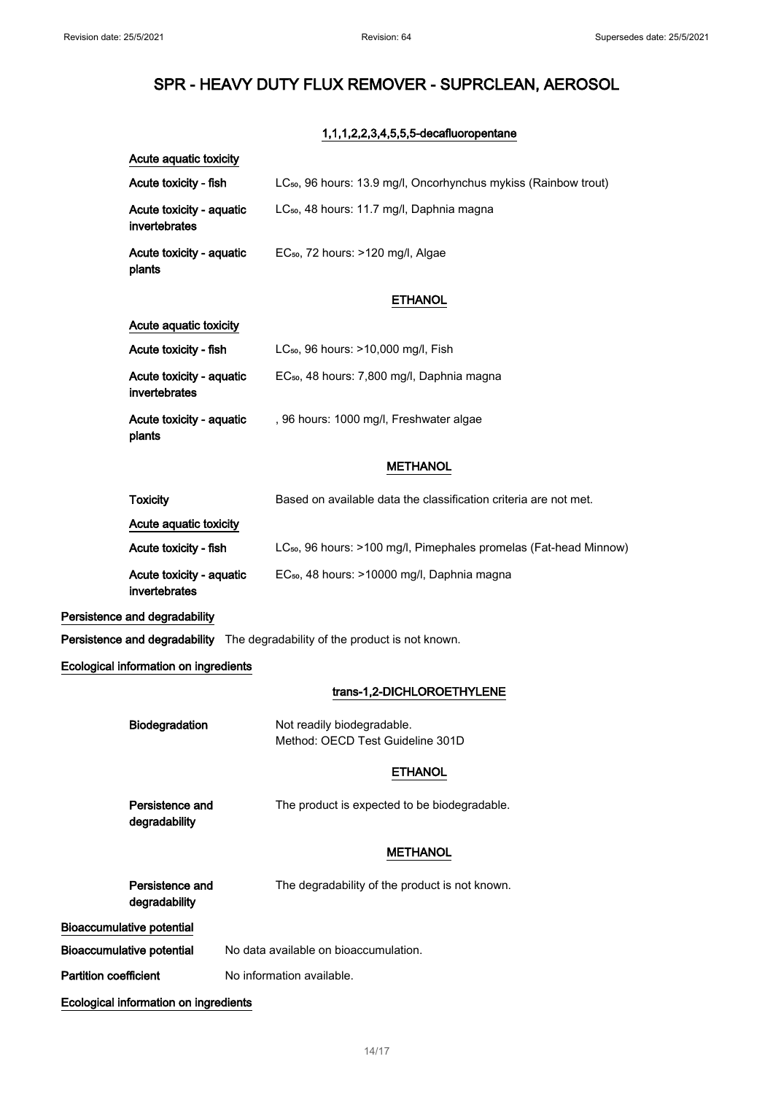### 1,1,1,2,2,3,4,5,5,5-decafluoropentane

| Acute aquatic toxicity                    |                                                                               |
|-------------------------------------------|-------------------------------------------------------------------------------|
| Acute toxicity - fish                     | LC <sub>50</sub> , 96 hours: 13.9 mg/l, Oncorhynchus mykiss (Rainbow trout)   |
| Acute toxicity - aquatic<br>invertebrates | LC <sub>50</sub> , 48 hours: 11.7 mg/l, Daphnia magna                         |
| Acute toxicity - aquatic<br>plants        | EC <sub>50</sub> , 72 hours: >120 mg/l, Algae                                 |
|                                           | <b>ETHANOL</b>                                                                |
| Acute aquatic toxicity                    |                                                                               |
| Acute toxicity - fish                     | LC <sub>50</sub> , 96 hours: >10,000 mg/l, Fish                               |
| Acute toxicity - aquatic<br>invertebrates | EC <sub>50</sub> , 48 hours: 7,800 mg/l, Daphnia magna                        |
| Acute toxicity - aquatic<br>plants        | , 96 hours: 1000 mg/l, Freshwater algae                                       |
|                                           | <b>METHANOL</b>                                                               |
| <b>Toxicity</b>                           | Based on available data the classification criteria are not met.              |
| Acute aquatic toxicity                    |                                                                               |
| Acute toxicity - fish                     | LC <sub>50</sub> , 96 hours: >100 mg/l, Pimephales promelas (Fat-head Minnow) |
| Acute toxicity - aquatic<br>invertebrates | EC <sub>50</sub> , 48 hours: >10000 mg/l, Daphnia magna                       |
| Persistence and degradability             |                                                                               |
|                                           | Persistence and degradability The degradability of the product is not known.  |
| Ecological information on ingredients     |                                                                               |
|                                           | trans-1,2-DICHLOROETHYLENE                                                    |
| <b>Biodegradation</b>                     | Not readily biodegradable.<br>Method: OECD Test Guideline 301D                |
|                                           | <b>ETHANOL</b>                                                                |
| Persistence and<br>degradability          | The product is expected to be biodegradable.                                  |
|                                           | <b>METHANOL</b>                                                               |
| Persistence and<br>degradability          | The degradability of the product is not known.                                |
| <b>Bioaccumulative potential</b>          |                                                                               |
| <b>Bioaccumulative potential</b>          | No data available on bioaccumulation.                                         |
| <b>Partition coefficient</b>              | No information available.                                                     |
| Ecological information on ingredients     |                                                                               |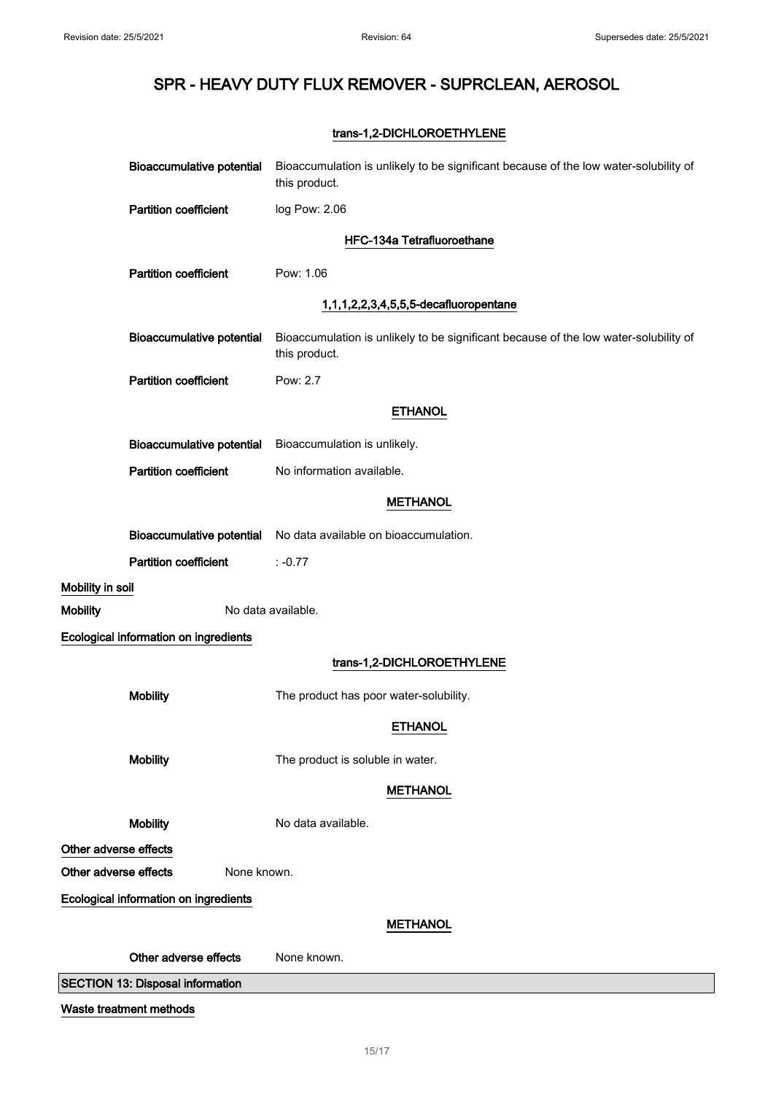### trans-1,2-DICHLOROETHYLENE

| <b>Bioaccumulative potential</b>        | Bioaccumulation is unlikely to be significant because of the low water-solubility of<br>this product. |
|-----------------------------------------|-------------------------------------------------------------------------------------------------------|
| <b>Partition coefficient</b>            | log Pow: 2.06                                                                                         |
|                                         | HFC-134a Tetrafluoroethane                                                                            |
| <b>Partition coefficient</b>            | Pow: 1.06                                                                                             |
|                                         | 1,1,1,2,2,3,4,5,5,5-decafluoropentane                                                                 |
| <b>Bioaccumulative potential</b>        | Bioaccumulation is unlikely to be significant because of the low water-solubility of<br>this product. |
| <b>Partition coefficient</b>            | Pow: 2.7                                                                                              |
|                                         | <b>ETHANOL</b>                                                                                        |
| <b>Bioaccumulative potential</b>        | Bioaccumulation is unlikely.                                                                          |
| <b>Partition coefficient</b>            | No information available.                                                                             |
|                                         | <b>METHANOL</b>                                                                                       |
| <b>Bioaccumulative potential</b>        | No data available on bioaccumulation.                                                                 |
| <b>Partition coefficient</b>            | $: -0.77$                                                                                             |
| Mobility in soil                        |                                                                                                       |
| <b>Mobility</b>                         | No data available.                                                                                    |
| Ecological information on ingredients   |                                                                                                       |
|                                         | trans-1,2-DICHLOROETHYLENE                                                                            |
| <b>Mobility</b>                         | The product has poor water-solubility.                                                                |
|                                         | <b>ETHANOL</b>                                                                                        |
| <b>Mobility</b>                         | The product is soluble in water.                                                                      |
|                                         | <b>METHANOL</b>                                                                                       |
| <b>Mobility</b>                         | No data available.                                                                                    |
| Other adverse effects                   |                                                                                                       |
| Other adverse effects<br>None known.    |                                                                                                       |
| Ecological information on ingredients   |                                                                                                       |
|                                         | <b>METHANOL</b>                                                                                       |
| Other adverse effects                   | None known.                                                                                           |
| <b>SECTION 13: Disposal information</b> |                                                                                                       |

Waste treatment methods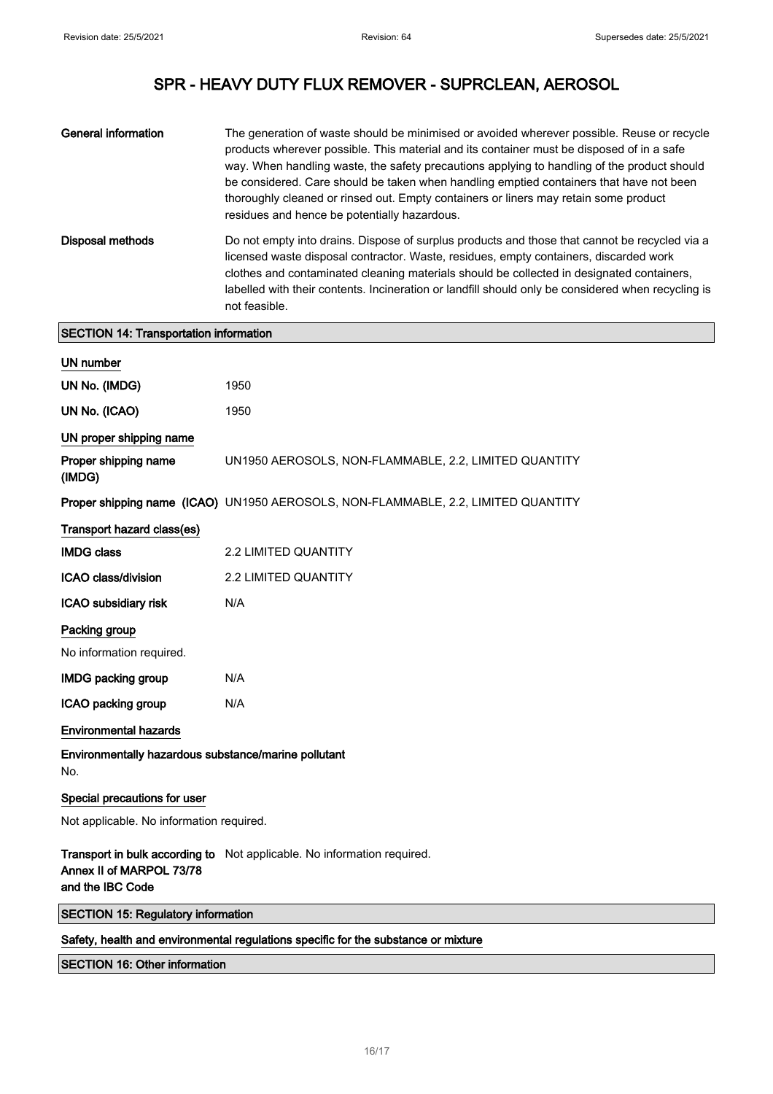| General information                           | The generation of waste should be minimised or avoided wherever possible. Reuse or recycle<br>products wherever possible. This material and its container must be disposed of in a safe<br>way. When handling waste, the safety precautions applying to handling of the product should<br>be considered. Care should be taken when handling emptied containers that have not been<br>thoroughly cleaned or rinsed out. Empty containers or liners may retain some product<br>residues and hence be potentially hazardous. |
|-----------------------------------------------|---------------------------------------------------------------------------------------------------------------------------------------------------------------------------------------------------------------------------------------------------------------------------------------------------------------------------------------------------------------------------------------------------------------------------------------------------------------------------------------------------------------------------|
| Disposal methods                              | Do not empty into drains. Dispose of surplus products and those that cannot be recycled via a<br>licensed waste disposal contractor. Waste, residues, empty containers, discarded work<br>clothes and contaminated cleaning materials should be collected in designated containers.<br>labelled with their contents. Incineration or landfill should only be considered when recycling is<br>not feasible.                                                                                                                |
| <b>SECTION 14: Transportation information</b> |                                                                                                                                                                                                                                                                                                                                                                                                                                                                                                                           |

| <b>UN number</b>                                            |                                                                                   |
|-------------------------------------------------------------|-----------------------------------------------------------------------------------|
| UN No. (IMDG)                                               | 1950                                                                              |
| UN No. (ICAO)                                               | 1950                                                                              |
| UN proper shipping name                                     |                                                                                   |
| Proper shipping name<br>(IMDG)                              | UN1950 AEROSOLS, NON-FLAMMABLE, 2.2, LIMITED QUANTITY                             |
|                                                             | Proper shipping name (ICAO) UN1950 AEROSOLS, NON-FLAMMABLE, 2.2, LIMITED QUANTITY |
| Transport hazard class(es)                                  |                                                                                   |
| <b>IMDG class</b>                                           | 2.2 LIMITED QUANTITY                                                              |
| ICAO class/division                                         | 2.2 LIMITED QUANTITY                                                              |
| ICAO subsidiary risk                                        | N/A                                                                               |
| Packing group                                               |                                                                                   |
| No information required.                                    |                                                                                   |
| <b>IMDG packing group</b>                                   | N/A                                                                               |
| ICAO packing group                                          | N/A                                                                               |
| <b>Environmental hazards</b>                                |                                                                                   |
| Environmentally hazardous substance/marine pollutant<br>No. |                                                                                   |
| Special precautions for user                                |                                                                                   |
| Not applicable. No information required.                    |                                                                                   |
| Annex II of MARPOL 73/78<br>and the IBC Code                | Transport in bulk according to Not applicable. No information required.           |
| <b>SECTION 15: Regulatory information</b>                   |                                                                                   |
|                                                             |                                                                                   |

### Safety, health and environmental regulations specific for the substance or mixture

### SECTION 16: Other information